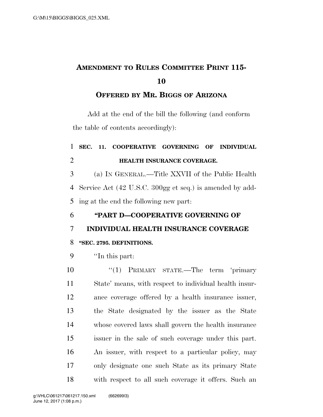# **AMENDMENT TO RULES COMMITTEE PRINT 115-**

**OFFERED BY MR. BIGGS OF ARIZONA**

Add at the end of the bill the following (and conform the table of contents accordingly):

## **SEC. 11. COOPERATIVE GOVERNING OF INDIVIDUAL HEALTH INSURANCE COVERAGE.**

 (a) IN GENERAL.—Title XXVII of the Public Health Service Act (42 U.S.C. 300gg et seq.) is amended by add-ing at the end the following new part:

### **''PART D—COOPERATIVE GOVERNING OF**

### **INDIVIDUAL HEALTH INSURANCE COVERAGE**

### **''SEC. 2795. DEFINITIONS.**

''In this part:

10 ''(1) PRIMARY STATE.—The term 'primary State' means, with respect to individual health insur- ance coverage offered by a health insurance issuer, the State designated by the issuer as the State whose covered laws shall govern the health insurance issuer in the sale of such coverage under this part. An issuer, with respect to a particular policy, may only designate one such State as its primary State with respect to all such coverage it offers. Such an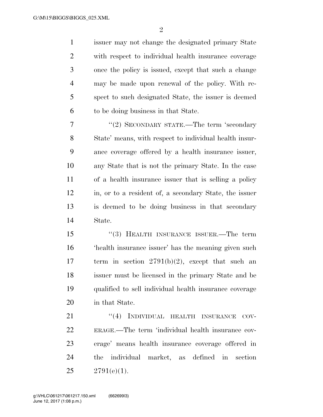$\mathfrak{D}$ 

 issuer may not change the designated primary State with respect to individual health insurance coverage once the policy is issued, except that such a change may be made upon renewal of the policy. With re- spect to such designated State, the issuer is deemed to be doing business in that State.

7 "(2) SECONDARY STATE.—The term 'secondary State' means, with respect to individual health insur- ance coverage offered by a health insurance issuer, any State that is not the primary State. In the case of a health insurance issuer that is selling a policy in, or to a resident of, a secondary State, the issuer is deemed to be doing business in that secondary State.

 ''(3) HEALTH INSURANCE ISSUER.—The term 'health insurance issuer' has the meaning given such 17 term in section  $2791(b)(2)$ , except that such an issuer must be licensed in the primary State and be qualified to sell individual health insurance coverage in that State.

21 "(4) INDIVIDUAL HEALTH INSURANCE COV- ERAGE.—The term 'individual health insurance cov- erage' means health insurance coverage offered in the individual market, as defined in section  $25 \qquad 2791(e)(1).$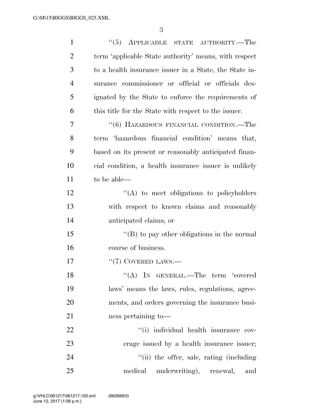| $\mathbf{1}$   | $\cdot\cdot$ (5) APPLICABLE STATE AUTHORITY.—The       |
|----------------|--------------------------------------------------------|
| $\overline{2}$ | term 'applicable State authority' means, with respect  |
| 3              | to a health insurance issuer in a State, the State in- |
| $\overline{4}$ | surance commissioner or official or officials des-     |
| 5              | ignated by the State to enforce the requirements of    |
| 6              | this title for the State with respect to the issuer.   |
| 7              | "(6) HAZARDOUS FINANCIAL CONDITION.—The                |
| 8              | term 'hazardous financial condition' means that,       |
| 9              | based on its present or reasonably anticipated finan-  |
| 10             | cial condition, a health insurance issuer is unlikely  |
| 11             | to be able—                                            |
| 12             | "(A) to meet obligations to policyholders              |
| 13             | with respect to known claims and reasonably            |
| 14             | anticipated claims; or                                 |
| 15             | "(B) to pay other obligations in the normal            |
| 16             | course of business.                                    |
| 17             | $``(7)$ COVERED LAWS.—                                 |
| 18             | "(A) IN GENERAL.—The term 'covered                     |
| 19             | laws' means the laws, rules, regulations, agree-       |
| 20             | ments, and orders governing the insurance busi-        |
| 21             | ness pertaining to-                                    |
| 22             | "(i) individual health insurance cov-                  |
| 23             | erage issued by a health insurance issuer;             |
| 24             | "(ii) the offer, sale, rating (including               |
| 25             | medical<br>underwriting), renewal,<br>and              |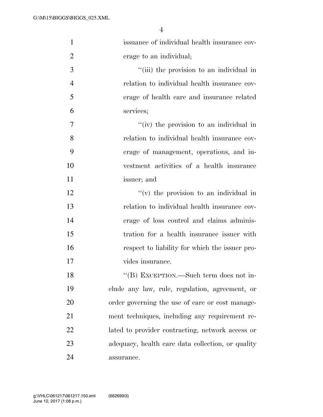| $\mathbf{1}$   | issuance of individual health insurance cov-      |
|----------------|---------------------------------------------------|
| $\overline{2}$ | erage to an individual;                           |
| 3              | "(iii) the provision to an individual in          |
| $\overline{4}$ | relation to individual health insurance cov-      |
| 5              | erage of health care and insurance related        |
| 6              | services;                                         |
| 7              | "(iv) the provision to an individual in           |
| 8              | relation to individual health insurance cov-      |
| 9              | erage of management, operations, and in-          |
| 10             | vestment activities of a health insurance         |
| 11             | issuer; and                                       |
| 12             | $f'(v)$ the provision to an individual in         |
| 13             | relation to individual health insurance cov-      |
| 14             | erage of loss control and claims adminis-         |
| 15             | tration for a health insurance issuer with        |
| 16             | respect to liability for which the issuer pro-    |
| 17             | vides insurance.                                  |
| 18             | "(B) EXCEPTION.—Such term does not in-            |
| 19             | clude any law, rule, regulation, agreement, or    |
| 20             | order governing the use of care or cost manage-   |
| 21             | ment techniques, including any requirement re-    |
| 22             | lated to provider contracting, network access or  |
| 23             | adequacy, health care data collection, or quality |
| 24             | assurance.                                        |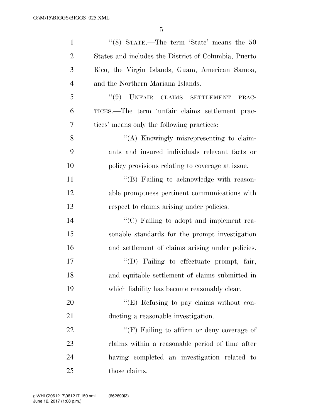| $\mathbf{1}$   | "(8) STATE.—The term 'State' means the $50$          |
|----------------|------------------------------------------------------|
| $\overline{c}$ | States and includes the District of Columbia, Puerto |
| 3              | Rico, the Virgin Islands, Guam, American Samoa,      |
| $\overline{4}$ | and the Northern Mariana Islands.                    |
| 5              | $``(9)$ UNFAIR CLAIMS SETTLEMENT<br>PRAC-            |
| 6              | TICES.—The term 'unfair claims settlement prac-      |
| $\overline{7}$ | tices' means only the following practices:           |
| 8              | "(A) Knowingly misrepresenting to claim-             |
| 9              | ants and insured individuals relevant facts or       |
| 10             | policy provisions relating to coverage at issue.     |
| 11             | "(B) Failing to acknowledge with reason-             |
| 12             | able promptness pertinent communications with        |
| 13             | respect to claims arising under policies.            |
| 14             | "(C) Failing to adopt and implement rea-             |
| 15             | sonable standards for the prompt investigation       |
| 16             | and settlement of claims arising under policies.     |
| 17             | "(D) Failing to effectuate prompt, fair,             |
| 18             | and equitable settlement of claims submitted in      |
| 19             | which liability has become reasonably clear.         |
| 20             | "(E) Refusing to pay claims without con-             |
| 21             | ducting a reasonable investigation.                  |
| 22             | " $(F)$ Failing to affirm or deny coverage of        |
| 23             | claims within a reasonable period of time after      |
| 24             | having completed an investigation related to         |
| 25             | those claims.                                        |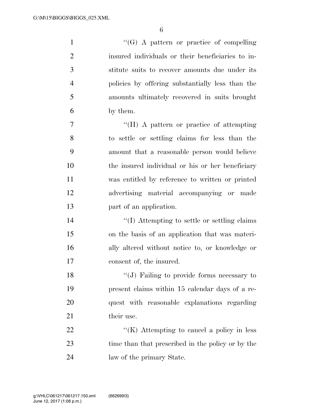1 ''(G) A pattern or practice of compelling insured individuals or their beneficiaries to in- stitute suits to recover amounts due under its policies by offering substantially less than the amounts ultimately recovered in suits brought by them. ''(H) A pattern or practice of attempting

 to settle or settling claims for less than the amount that a reasonable person would believe the insured individual or his or her beneficiary was entitled by reference to written or printed advertising material accompanying or made part of an application.

 $\frac{1}{2}$  (I) Attempting to settle or settling claims on the basis of an application that was materi- ally altered without notice to, or knowledge or consent of, the insured.

18 "(J) Failing to provide forms necessary to present claims within 15 calendar days of a re- quest with reasonable explanations regarding 21 their use.

22  $\langle K \rangle$  Attempting to cancel a policy in less time than that prescribed in the policy or by the law of the primary State.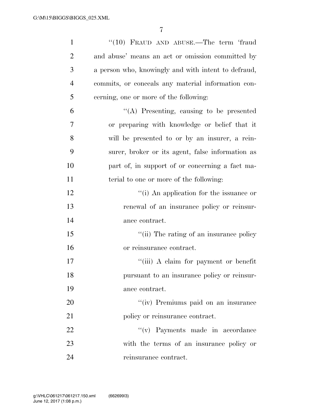| $\mathbf{1}$   | "(10) FRAUD AND ABUSE.—The term 'fraud              |
|----------------|-----------------------------------------------------|
| $\overline{2}$ | and abuse' means an act or omission committed by    |
| 3              | a person who, knowingly and with intent to defraud, |
| $\overline{4}$ | commits, or conceals any material information con-  |
| 5              | cerning, one or more of the following:              |
| 6              | "(A) Presenting, causing to be presented            |
| 7              | or preparing with knowledge or belief that it       |
| 8              | will be presented to or by an insurer, a rein-      |
| 9              | surer, broker or its agent, false information as    |
| 10             | part of, in support of or concerning a fact ma-     |
| 11             | terial to one or more of the following:             |
| 12             | "(i) An application for the issuance or             |
| 13             | renewal of an insurance policy or reinsur-          |
| 14             | ance contract.                                      |
| 15             | "(ii) The rating of an insurance policy             |
| 16             | or reinsurance contract.                            |
| 17             | "(iii) A claim for payment or benefit               |
| 18             | pursuant to an insurance policy or reinsur-         |
| 19             | ance contract.                                      |
| 20             | "(iv) Premiums paid on an insurance                 |
| 21             | policy or reinsurance contract.                     |
| 22             | "(v) Payments made in accordance                    |
| 23             | with the terms of an insurance policy or            |
| 24             | reinsurance contract.                               |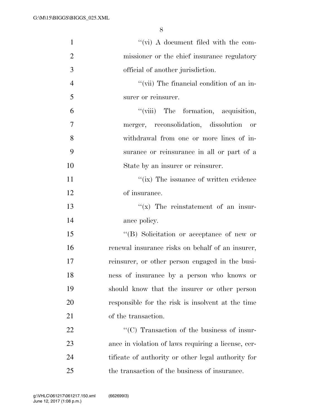| $\mathbf{1}$   | $\lq\lq$ (vi) A document filed with the com-        |
|----------------|-----------------------------------------------------|
| $\overline{2}$ | missioner or the chief insurance regulatory         |
| 3              | official of another jurisdiction.                   |
| $\overline{4}$ | "(vii) The financial condition of an in-            |
| 5              | surer or reinsurer.                                 |
| 6              | "(viii) The formation, acquisition,                 |
| 7              | merger, reconsolidation, dissolution<br>or          |
| 8              | withdrawal from one or more lines of in-            |
| 9              | surance or reinsurance in all or part of a          |
| 10             | State by an insurer or reinsurer.                   |
| 11             | "(ix) The issuance of written evidence              |
| 12             | of insurance.                                       |
| 13             | $f(x)$ The reinstatement of an insur-               |
| 14             | ance policy.                                        |
| 15             | "(B) Solicitation or acceptance of new or           |
| 16             | renewal insurance risks on behalf of an insurer,    |
| 17             | reinsurer, or other person engaged in the busi-     |
| 18             | ness of insurance by a person who knows or          |
| 19             | should know that the insurer or other person        |
| 20             | responsible for the risk is insolvent at the time   |
| 21             | of the transaction.                                 |
| 22             | "(C) Transaction of the business of insur-          |
| 23             | ance in violation of laws requiring a license, cer- |
| 24             | tificate of authority or other legal authority for  |
| 25             | the transaction of the business of insurance.       |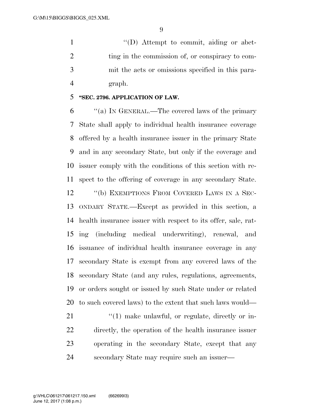1  $\text{``(D)}$  Attempt to commit, aiding or abet-2 ting in the commission of, or conspiracy to com- mit the acts or omissions specified in this para-graph.

#### **''SEC. 2796. APPLICATION OF LAW.**

 ''(a) IN GENERAL.—The covered laws of the primary State shall apply to individual health insurance coverage offered by a health insurance issuer in the primary State and in any secondary State, but only if the coverage and issuer comply with the conditions of this section with re-spect to the offering of coverage in any secondary State.

12 "(b) EXEMPTIONS FROM COVERED LAWS IN A SEC- ONDARY STATE.—Except as provided in this section, a health insurance issuer with respect to its offer, sale, rat- ing (including medical underwriting), renewal, and issuance of individual health insurance coverage in any secondary State is exempt from any covered laws of the secondary State (and any rules, regulations, agreements, or orders sought or issued by such State under or related to such covered laws) to the extent that such laws would—

 $\frac{1}{2}$  (1) make unlawful, or regulate, directly or in- directly, the operation of the health insurance issuer operating in the secondary State, except that any secondary State may require such an issuer—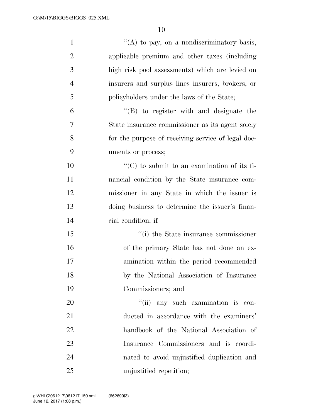| $\mathbf{1}$   | "(A) to pay, on a nondiscriminatory basis,          |
|----------------|-----------------------------------------------------|
| $\overline{2}$ | applicable premium and other taxes (including       |
| 3              | high risk pool assessments) which are levied on     |
| $\overline{4}$ | insurers and surplus lines insurers, brokers, or    |
| 5              | policyholders under the laws of the State;          |
| 6              | $\lq\lq(B)$ to register with and designate the      |
| 7              | State insurance commissioner as its agent solely    |
| 8              | for the purpose of receiving service of legal doc-  |
| 9              | uments or process;                                  |
| 10             | $\lq\lq$ (C) to submit to an examination of its fi- |
| 11             | nancial condition by the State insurance com-       |
| 12             | missioner in any State in which the issuer is       |
| 13             | doing business to determine the issuer's finan-     |
| 14             | cial condition, if—                                 |
| 15             | "(i) the State insurance commissioner               |
| 16             | of the primary State has not done an ex-            |
| 17             | amination within the period recommended             |
| 18             | by the National Association of Insurance            |
| 19             | Commissioners; and                                  |
| 20             | "(ii) any such examination is con-                  |
| 21             | ducted in accordance with the examiners'            |
| 22             | handbook of the National Association of             |
| 23             | Insurance Commissioners and is coordi-              |
| 24             | nated to avoid unjustified duplication and          |
| 25             | unjustified repetition;                             |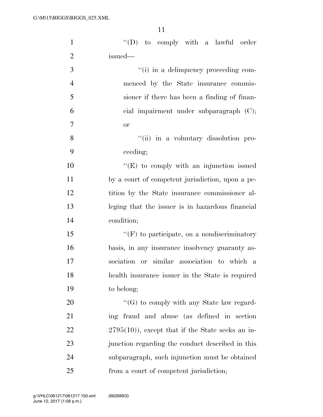| $\mathbf{1}$   | $\lq\lq$ to comply with a lawful order             |
|----------------|----------------------------------------------------|
| $\overline{2}$ | issued-                                            |
| 3              | "(i) in a delinquency proceeding com-              |
| $\overline{4}$ | menced by the State insurance commis-              |
| 5              | sioner if there has been a finding of finan-       |
| 6              | cial impairment under subparagraph $(C)$ ;         |
| $\overline{7}$ | <b>or</b>                                          |
| 8              | "(ii) in a voluntary dissolution pro-              |
| 9              | ceeding;                                           |
| 10             | $\lq\lq(E)$ to comply with an injunction issued    |
| 11             | by a court of competent jurisdiction, upon a pe-   |
| 12             | tition by the State insurance commissioner al-     |
| 13             | leging that the issuer is in hazardous financial   |
| 14             | condition;                                         |
| 15             | $\lq\lq(F)$ to participate, on a nondiscriminatory |
| 16             | basis, in any insurance insolvency guaranty as-    |
| 17             | sociation or similar association to which a        |
| 18             | health insurance issuer in the State is required   |
| 19             | to belong;                                         |
| 20             | $\lq\lq(G)$ to comply with any State law regard-   |
| 21             | ing fraud and abuse (as defined in section         |
| 22             | $2795(10)$ , except that if the State seeks an in- |
| 23             | junction regarding the conduct described in this   |
| 24             | subparagraph, such injunction must be obtained     |
| 25             | from a court of competent jurisdiction;            |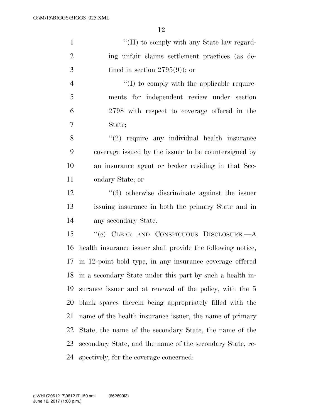| 1              | "(H) to comply with any State law regard-            |
|----------------|------------------------------------------------------|
| 2              | ing unfair claims settlement practices (as de-       |
| 3              | fined in section $2795(9)$ ; or                      |
| $\overline{4}$ | $\lq\lq$ to comply with the applicable require-      |
| 5              | ments for independent review under section           |
| 6              | 2798 with respect to coverage offered in the         |
| $\overline{7}$ | State;                                               |
| 8              | $\lq(2)$ require any individual health insurance     |
| 9              | coverage issued by the issuer to be countersigned by |
| 10             | an insurance agent or broker residing in that Sec-   |
| 11             | ondary State; or                                     |

 ''(3) otherwise discriminate against the issuer issuing insurance in both the primary State and in any secondary State.

 ''(c) CLEAR AND CONSPICUOUS DISCLOSURE.—A health insurance issuer shall provide the following notice, in 12-point bold type, in any insurance coverage offered in a secondary State under this part by such a health in- surance issuer and at renewal of the policy, with the 5 blank spaces therein being appropriately filled with the name of the health insurance issuer, the name of primary State, the name of the secondary State, the name of the secondary State, and the name of the secondary State, re-spectively, for the coverage concerned: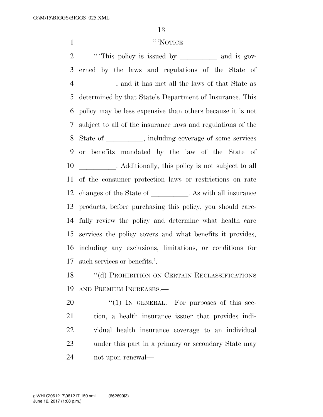#### 1 '' 'NOTICE

2 ""This policy is issued by \_\_\_\_\_\_\_\_\_\_ and is gov- erned by the laws and regulations of the State of 4 all the laws of that State as determined by that State's Department of Insurance. This policy may be less expensive than others because it is not subject to all of the insurance laws and regulations of the 8 State of , including coverage of some services or benefits mandated by the law of the State of **and Additionally**, this policy is not subject to all of the consumer protection laws or restrictions on rate 12 changes of the State of leads . As with all insurance products, before purchasing this policy, you should care- fully review the policy and determine what health care services the policy covers and what benefits it provides, including any exclusions, limitations, or conditions for such services or benefits.'.

18 "(d) PROHIBITION ON CERTAIN RECLASSIFICATIONS AND PREMIUM INCREASES.—

 "(1) In GENERAL.—For purposes of this sec- tion, a health insurance issuer that provides indi- vidual health insurance coverage to an individual under this part in a primary or secondary State may not upon renewal—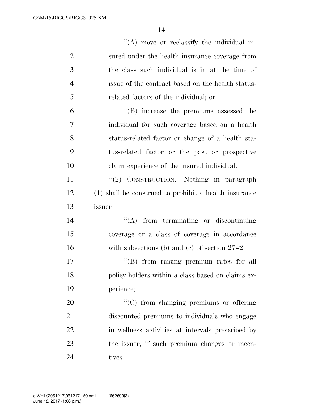| $\mathbf{1}$   | $\lq\lq$ move or reclassify the individual in-        |
|----------------|-------------------------------------------------------|
| $\overline{2}$ | sured under the health insurance coverage from        |
| 3              | the class such individual is in at the time of        |
| $\overline{4}$ | issue of the contract based on the health status-     |
| 5              | related factors of the individual; or                 |
| 6              | $\lq\lq$ (B) increase the premiums assessed the       |
| 7              | individual for such coverage based on a health        |
| 8              | status-related factor or change of a health sta-      |
| 9              | tus-related factor or the past or prospective         |
| 10             | claim experience of the insured individual.           |
| 11             | "(2) CONSTRUCTION.—Nothing in paragraph               |
| 12             | (1) shall be construed to prohibit a health insurance |
|                |                                                       |
| 13             | issuer—                                               |
| 14             | $\lq\lq$ from terminating or discontinuing            |
| 15             | coverage or a class of coverage in accordance         |
| 16             | with subsections (b) and (c) of section $2742$ ;      |
| 17             | "(B) from raising premium rates for all               |
| 18             | policy holders within a class based on claims ex-     |
| 19             | perience;                                             |
| 20             | $\lq\lq$ (C) from changing premiums or offering       |
| 21             | discounted premiums to individuals who engage         |
| 22             | in wellness activities at intervals prescribed by     |
| 23             | the issuer, if such premium changes or incen-         |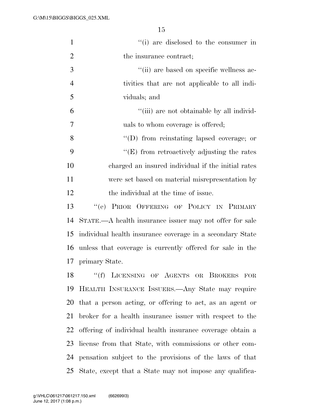| $\mathbf{1}$   | "(i) are disclosed to the consumer in                       |
|----------------|-------------------------------------------------------------|
| $\overline{2}$ | the insurance contract;                                     |
| 3              | "(ii) are based on specific wellness ac-                    |
| $\overline{4}$ | tivities that are not applicable to all indi-               |
| 5              | viduals; and                                                |
| 6              | "(iii) are not obtainable by all individ-                   |
| $\tau$         | uals to whom coverage is offered;                           |
| 8              | $\lq\lq$ from reinstating lapsed coverage; or               |
| 9              | $\lq\lq(E)$ from retroactively adjusting the rates          |
| 10             | charged an insured individual if the initial rates          |
| 11             | were set based on material misrepresentation by             |
| 12             | the individual at the time of issue.                        |
| 13             | PRIOR OFFERING OF POLICY IN PRIMARY<br>``(e)                |
| 14             | STATE.—A health insurance issuer may not offer for sale     |
| 15             | individual health insurance coverage in a secondary State   |
| 16             | unless that coverage is currently offered for sale in the   |
|                | 17 primary State.                                           |
| 18             | "(f) LICENSING OF AGENTS OR BROKERS FOR                     |
| 19             | HEALTH INSURANCE ISSUERS.—Any State may require             |
|                | 20 that a person acting, or offering to act, as an agent or |
| 21             | broker for a health insurance issuer with respect to the    |
| 22             | offering of individual health insurance coverage obtain a   |
| 23             | license from that State, with commissions or other com-     |
|                | 24 pensation subject to the provisions of the laws of that  |
| 25             | State, except that a State may not impose any qualifica-    |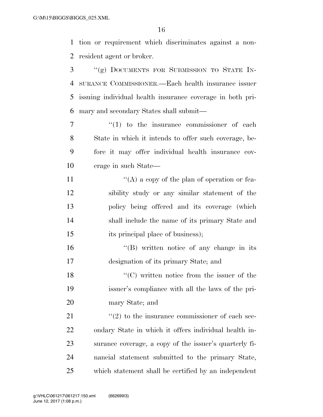tion or requirement which discriminates against a non-resident agent or broker.

 ''(g) DOCUMENTS FOR SUBMISSION TO STATE IN- SURANCE COMMISSIONER.—Each health insurance issuer issuing individual health insurance coverage in both pri-mary and secondary States shall submit—

 $\frac{1}{1}$  to the insurance commissioner of each State in which it intends to offer such coverage, be- fore it may offer individual health insurance cov-erage in such State—

 $\langle (A)$  a copy of the plan of operation or fea- sibility study or any similar statement of the policy being offered and its coverage (which shall include the name of its primary State and 15 its principal place of business);

16 "(B) written notice of any change in its designation of its primary State; and

18 ''(C) written notice from the issuer of the issuer's compliance with all the laws of the pri-mary State; and

 ''(2) to the insurance commissioner of each sec- ondary State in which it offers individual health in- surance coverage, a copy of the issuer's quarterly fi- nancial statement submitted to the primary State, which statement shall be certified by an independent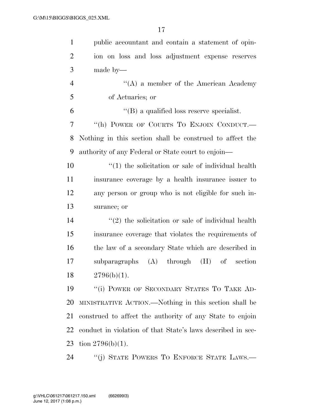| $\mathbf{1}$   | public accountant and contain a statement of opin-                 |
|----------------|--------------------------------------------------------------------|
| $\overline{2}$ | ion on loss and loss adjustment expense reserves                   |
| 3              | made by—                                                           |
| $\overline{4}$ | $\lq\lq$ (A) a member of the American Academy                      |
| 5              | of Actuaries; or                                                   |
| 6              | $\lq\lq$ a qualified loss reserve specialist.                      |
| 7              | "(h) POWER OF COURTS TO ENJOIN CONDUCT.-                           |
| 8              | Nothing in this section shall be construed to affect the           |
| 9              | authority of any Federal or State court to enjoin—                 |
| 10             | $\cdot$ (1) the solicitation or sale of individual health          |
| 11             | insurance coverage by a health insurance issuer to                 |
| 12             | any person or group who is not eligible for such in-               |
| 13             | surance; or                                                        |
| 14             | $\cdot\cdot\cdot(2)$ the solicitation or sale of individual health |
| 15             | insurance coverage that violates the requirements of               |
| 16             | the law of a secondary State which are described in                |
| 17             | subparagraphs (A) through<br>$(H)$ of section                      |
| 18             | $2796(b)(1)$ .                                                     |
| 19             | "(i) POWER OF SECONDARY STATES TO TAKE AD-                         |
| 20             | MINISTRATIVE ACTION.—Nothing in this section shall be              |
| 21             | construed to affect the authority of any State to enjoin           |
| 22             | conduct in violation of that State's laws described in sec-        |
| 23             | tion $2796(b)(1)$ .                                                |
| 24             | "(j) STATE POWERS TO ENFORCE STATE LAWS.—                          |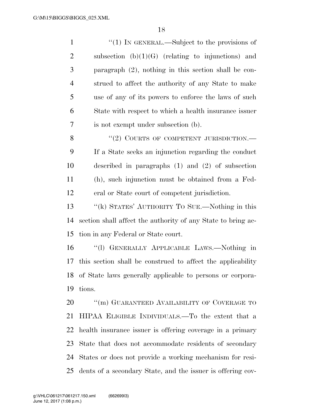| $\mathbf{1}$   | $\cdot$ (1) In GENERAL.—Subject to the provisions of         |
|----------------|--------------------------------------------------------------|
| $\overline{2}$ | subsection $(b)(1)(G)$ (relating to injunctions) and         |
| 3              | paragraph $(2)$ , nothing in this section shall be con-      |
| $\overline{4}$ | strued to affect the authority of any State to make          |
| 5              | use of any of its powers to enforce the laws of such         |
| 6              | State with respect to which a health insurance issuer        |
| 7              | is not exempt under subsection (b).                          |
| 8              | "(2) COURTS OF COMPETENT JURISDICTION.—                      |
| 9              | If a State seeks an injunction regarding the conduct         |
| 10             | described in paragraphs $(1)$ and $(2)$ of subsection        |
| 11             | (h), such injunction must be obtained from a Fed-            |
| 12             | eral or State court of competent jurisdiction.               |
| 13             | "(k) STATES' AUTHORITY TO SUE.—Nothing in this               |
| 14             | section shall affect the authority of any State to bring ac- |
| 15             | tion in any Federal or State court.                          |
| 16             | "(1) GENERALLY APPLICABLE LAWS.—Nothing in                   |
| 17             | this section shall be construed to affect the applicability  |
| 18             | of State laws generally applicable to persons or corpora-    |
| 19             | tions.                                                       |
| 20             | "(m) GUARANTEED AVAILABILITY OF COVERAGE TO                  |
| 21             | HIPAA ELIGIBLE INDIVIDUALS.—To the extent that a             |
| 22             | health insurance issuer is offering coverage in a primary    |
| 23             | State that does not accommodate residents of secondary       |
| 24             | States or does not provide a working mechanism for resi-     |
| 25             | dents of a secondary State, and the issuer is offering cov-  |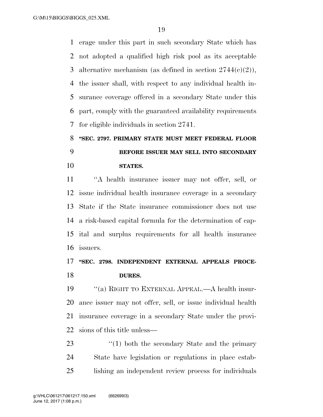erage under this part in such secondary State which has not adopted a qualified high risk pool as its acceptable 3 alternative mechanism (as defined in section  $2744(c)(2)$ ), the issuer shall, with respect to any individual health in- surance coverage offered in a secondary State under this part, comply with the guaranteed availability requirements for eligible individuals in section 2741.

# **''SEC. 2797. PRIMARY STATE MUST MEET FEDERAL FLOOR BEFORE ISSUER MAY SELL INTO SECONDARY STATES.**

 ''A health insurance issuer may not offer, sell, or issue individual health insurance coverage in a secondary State if the State insurance commissioner does not use a risk-based capital formula for the determination of cap- ital and surplus requirements for all health insurance issuers.

## **''SEC. 2798. INDEPENDENT EXTERNAL APPEALS PROCE-DURES.**

 ''(a) RIGHT TO EXTERNAL APPEAL.—A health insur- ance issuer may not offer, sell, or issue individual health insurance coverage in a secondary State under the provi-sions of this title unless—

23 ''(1) both the secondary State and the primary State have legislation or regulations in place estab-lishing an independent review process for individuals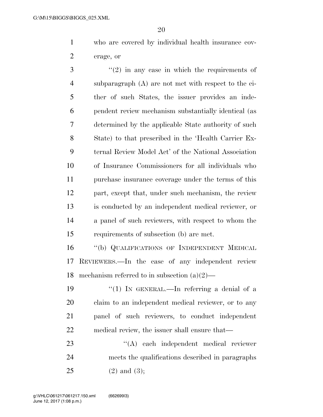who are covered by individual health insurance cov-erage, or

 ''(2) in any case in which the requirements of subparagraph (A) are not met with respect to the ei- ther of such States, the issuer provides an inde- pendent review mechanism substantially identical (as determined by the applicable State authority of such State) to that prescribed in the 'Health Carrier Ex- ternal Review Model Act' of the National Association of Insurance Commissioners for all individuals who purchase insurance coverage under the terms of this part, except that, under such mechanism, the review is conducted by an independent medical reviewer, or a panel of such reviewers, with respect to whom the requirements of subsection (b) are met.

 ''(b) QUALIFICATIONS OF INDEPENDENT MEDICAL REVIEWERS.—In the case of any independent review 18 mechanism referred to in subsection  $(a)(2)$ —

 $\frac{1}{2}$  (1) In GENERAL.—In referring a denial of a claim to an independent medical reviewer, or to any panel of such reviewers, to conduct independent medical review, the issuer shall ensure that—

23 ''(A) each independent medical reviewer meets the qualifications described in paragraphs (2) and (3);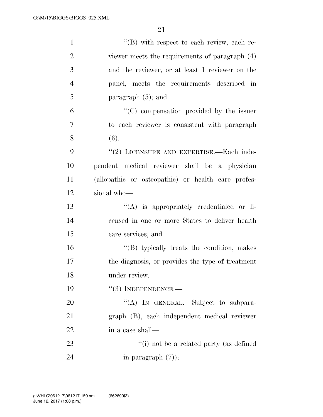| $\mathbf{1}$   | $\lq\lq (B)$ with respect to each review, each re- |
|----------------|----------------------------------------------------|
| $\overline{2}$ | viewer meets the requirements of paragraph (4)     |
| 3              | and the reviewer, or at least 1 reviewer on the    |
| $\overline{4}$ | panel, meets the requirements described in         |
| 5              | paragraph $(5)$ ; and                              |
| 6              | "(C) compensation provided by the issuer           |
| 7              | to each reviewer is consistent with paragraph      |
| 8              | (6).                                               |
| 9              | "(2) LICENSURE AND EXPERTISE.—Each inde-           |
| 10             | pendent medical reviewer shall be a physician      |
| 11             | (allopathic or osteopathic) or health care profes- |
| 12             | sional who-                                        |
| 13             | $\lq\lq$ is appropriately credentialed or li-      |
| 14             | censed in one or more States to deliver health     |
| 15             | care services; and                                 |
| 16             | "(B) typically treats the condition, makes         |
| 17             | the diagnosis, or provides the type of treatment   |
| 18             | under review.                                      |
| 19             | $``(3)$ INDEPENDENCE.—                             |
| 20             | "(A) IN GENERAL.—Subject to subpara-               |
| 21             | graph (B), each independent medical reviewer       |
| 22             | in a case shall—                                   |
| 23             | "(i) not be a related party (as defined            |
| 24             | in paragraph $(7)$ );                              |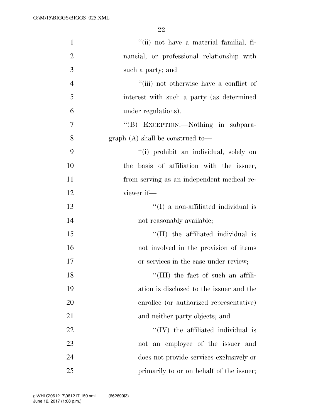| $\mathbf{1}$   | "(ii) not have a material familial, fi-      |
|----------------|----------------------------------------------|
| $\overline{2}$ | nancial, or professional relationship with   |
| 3              | such a party; and                            |
| $\overline{4}$ | "(iii) not otherwise have a conflict of      |
| 5              | interest with such a party (as determined    |
| 6              | under regulations).                          |
| 7              | "(B) EXCEPTION.—Nothing in subpara-          |
| 8              | graph $(A)$ shall be construed to-           |
| 9              | "(i) prohibit an individual, solely on       |
| 10             | basis of affiliation with the issuer,<br>the |
| 11             | from serving as an independent medical re-   |
| 12             | viewer if-                                   |
| 13             | $\lq (I)$ a non-affiliated individual is     |
| 14             | not reasonably available;                    |
| 15             | "(II) the affiliated individual is           |
| 16             | not involved in the provision of items       |
| 17             | or services in the case under review;        |
| 18             | "(III) the fact of such an affili-           |
| 19             | ation is disclosed to the issuer and the     |
| 20             | enrollee (or authorized representative)      |
| 21             | and neither party objects; and               |
| 22             | $\lq\lq$ (IV) the affiliated individual is   |
| 23             | not an employee of the issuer and            |
| 24             | does not provide services exclusively or     |
| 25             | primarily to or on behalf of the issuer;     |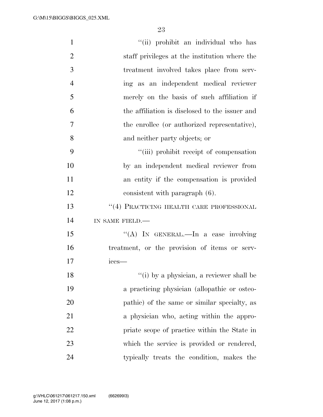| $\mathbf{1}$   | "(ii) prohibit an individual who has           |
|----------------|------------------------------------------------|
| $\overline{2}$ | staff privileges at the institution where the  |
| 3              | treatment involved takes place from serv-      |
| $\overline{4}$ | ing as an independent medical reviewer         |
| 5              | merely on the basis of such affiliation if     |
| 6              | the affiliation is disclosed to the issuer and |
| 7              | the enrollee (or authorized representative),   |
| 8              | and neither party objects; or                  |
| 9              | "(iii) prohibit receipt of compensation        |
| 10             | by an independent medical reviewer from        |
| 11             | an entity if the compensation is provided      |
| 12             | consistent with paragraph (6).                 |
| 13             | "(4) PRACTICING HEALTH CARE PROFESSIONAL       |
| 14             | IN SAME FIELD.-                                |
| 15             | "(A) IN GENERAL.—In a case involving           |
| 16             | treatment, or the provision of items or serv-  |
| 17             | ices-                                          |
| 18             | $``(i)$ by a physician, a reviewer shall be    |
| 19             | a practicing physician (allopathic or osteo-   |
| 20             | pathic) of the same or similar specialty, as   |
| 21             | a physician who, acting within the appro-      |
| 22             | priate scope of practice within the State in   |
| 23             | which the service is provided or rendered,     |
| 24             | typically treats the condition, makes the      |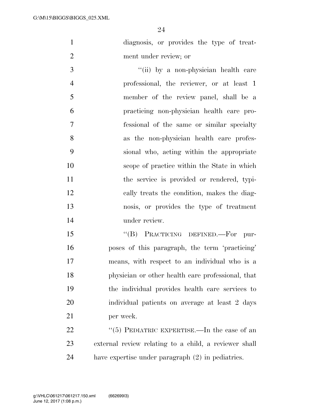diagnosis, or provides the type of treat-ment under review; or

3 ''(ii) by a non-physician health care professional, the reviewer, or at least 1 member of the review panel, shall be a practicing non-physician health care pro- fessional of the same or similar specialty as the non-physician health care profes- sional who, acting within the appropriate scope of practice within the State in which 11 the service is provided or rendered, typi- cally treats the condition, makes the diag- nosis, or provides the type of treatment under review.

15 "(B) PRACTICING DEFINED.—For pur- poses of this paragraph, the term 'practicing' means, with respect to an individual who is a physician or other health care professional, that the individual provides health care services to individual patients on average at least 2 days per week.

22  $(5)$  PEDIATRIC EXPERTISE.—In the case of an external review relating to a child, a reviewer shall have expertise under paragraph (2) in pediatrics.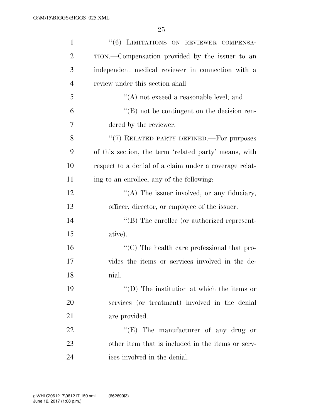| $\mathbf{1}$   | "(6) LIMITATIONS ON REVIEWER COMPENSA-                           |
|----------------|------------------------------------------------------------------|
| $\overline{2}$ | TION.—Compensation provided by the issuer to an                  |
| 3              | independent medical reviewer in connection with a                |
| $\overline{4}$ | review under this section shall—                                 |
| 5              | $\lq\lq$ not exceed a reasonable level; and                      |
| 6              | $\lq\lq (B)$ not be contingent on the decision ren-              |
| 7              | dered by the reviewer.                                           |
| 8              | "(7) RELATED PARTY DEFINED.—For purposes                         |
| 9              | of this section, the term 'related party' means, with            |
| 10             | respect to a denial of a claim under a coverage relat-           |
| 11             | ing to an enrollee, any of the following:                        |
| 12             | "(A) The issuer involved, or any fiduciary,                      |
| 13             | officer, director, or employee of the issuer.                    |
| 14             | $\lq\lq$ (B) The enrollee (or authorized represent-              |
| 15             | ative).                                                          |
| 16             | $\lq\lq$ <sup>c</sup> (C) The health care professional that pro- |
| 17             | vides the items or services involved in the de-                  |
| 18             | nial.                                                            |
| 19             | $\lq\lq$ (D) The institution at which the items or               |
| 20             | services (or treatment) involved in the denial                   |
| 21             | are provided.                                                    |
| 22             | " $(E)$ The manufacturer of any drug or                          |
| 23             | other item that is included in the items or serv-                |
| 24             | ices involved in the denial.                                     |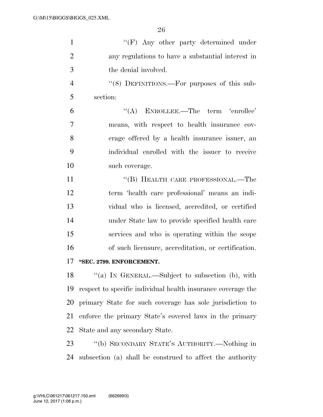| $\mathbf{1}$   | $\lq\lq(F)$ Any other party determined under                 |
|----------------|--------------------------------------------------------------|
| $\overline{2}$ | any regulations to have a substantial interest in            |
| 3              | the denial involved.                                         |
| $\overline{4}$ | "(8) DEFINITIONS.—For purposes of this sub-                  |
| 5              | section:                                                     |
| 6              | $\lq\lq$ ENROLLEE.—The term 'enrollee'                       |
| 7              | means, with respect to health insurance cov-                 |
| 8              | erage offered by a health insurance issuer, an               |
| 9              | individual enrolled with the issuer to receive               |
| 10             | such coverage.                                               |
| 11             | "(B) HEALTH CARE PROFESSIONAL.—The                           |
| 12             | term 'health care professional' means an indi-               |
| 13             | vidual who is licensed, accredited, or certified             |
| 14             | under State law to provide specified health care             |
| 15             | services and who is operating within the scope               |
| 16             | of such licensure, accreditation, or certification.          |
| 17             | "SEC. 2799. ENFORCEMENT.                                     |
| 18             | "(a) IN GENERAL.—Subject to subsection (b), with             |
| 19             | respect to specific individual health insurance coverage the |
| 20             | primary State for such coverage has sole jurisdiction to     |
| 21             | enforce the primary State's covered laws in the primary      |
| 22             | State and any secondary State.                               |
| 23             | "(b) SECONDARY STATE'S AUTHORITY.—Nothing in                 |
| 24             | subsection (a) shall be construed to affect the authority    |
|                |                                                              |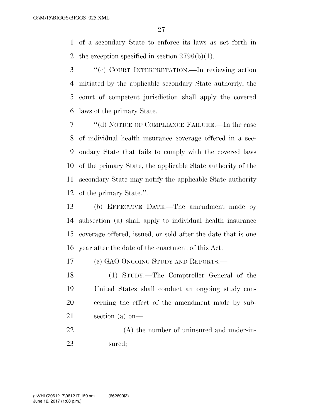of a secondary State to enforce its laws as set forth in 2 the exception specified in section  $2796(b)(1)$ .

 ''(c) COURT INTERPRETATION.—In reviewing action initiated by the applicable secondary State authority, the court of competent jurisdiction shall apply the covered laws of the primary State.

 ''(d) NOTICE OF COMPLIANCE FAILURE.—In the case of individual health insurance coverage offered in a sec- ondary State that fails to comply with the covered laws of the primary State, the applicable State authority of the secondary State may notify the applicable State authority of the primary State.''.

 (b) EFFECTIVE DATE.—The amendment made by subsection (a) shall apply to individual health insurance coverage offered, issued, or sold after the date that is one year after the date of the enactment of this Act.

(c) GAO ONGOING STUDY AND REPORTS.—

 (1) STUDY.—The Comptroller General of the United States shall conduct an ongoing study con- cerning the effect of the amendment made by sub-section (a) on—

 (A) the number of uninsured and under-in-sured;